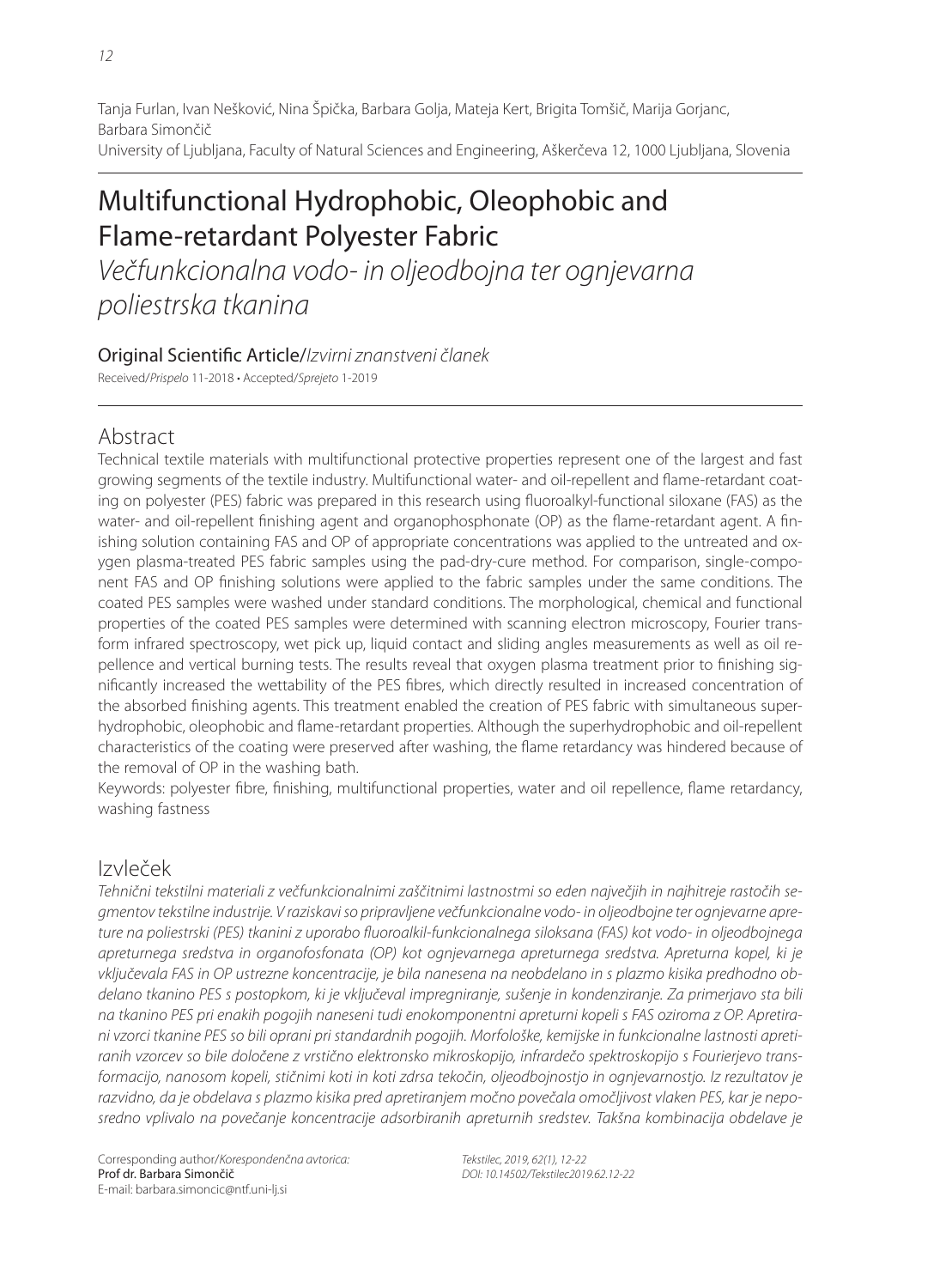Tanja Furlan, Ivan Nešković, Nina Špička, Barbara Golja, Mateja Kert, Brigita Tomšič, Marija Gorjanc, Barbara Simončič University of Ljubljana, Faculty of Natural Sciences and Engineering, Aškerčeva 12, 1000 Ljubljana, Slovenia

# Multifunctional Hydrophobic, Oleophobic and Flame-retardant Polyester Fabric

Večfunkcionalna vodo- in oljeodbojna ter ognjevarna poliestrska tkanina

## Original Scientific Article/Izvirni znanstveni članek

Received/Prispelo 11-2018 • Accepted/Sprejeto 1-2019

# Abstract

Technical textile materials with multifunctional protective properties represent one of the largest and fast growing segments of the textile industry. Multifunctional water- and oil-repellent and flame-retardant coating on polyester (PES) fabric was prepared in this research using fluoroalkyl-functional siloxane (FAS) as the water- and oil-repellent finishing agent and organophosphonate (OP) as the flame-retardant agent. A finishing solution containing FAS and OP of appropriate concentrations was applied to the untreated and oxygen plasma-treated PES fabric samples using the pad-dry-cure method. For comparison, single-component FAS and OP finishing solutions were applied to the fabric samples under the same conditions. The coated PES samples were washed under standard conditions. The morphological, chemical and functional properties of the coated PES samples were determined with scanning electron microscopy, Fourier transform infrared spectroscopy, wet pick up, liquid contact and sliding angles measurements as well as oil repellence and vertical burning tests. The results reveal that oxygen plasma treatment prior to finishing significantly increased the wettability of the PES fibres, which directly resulted in increased concentration of the absorbed finishing agents. This treatment enabled the creation of PES fabric with simultaneous superhydrophobic, oleophobic and flame-retardant properties. Although the superhydrophobic and oil-repellent characteristics of the coating were preserved after washing, the flame retardancy was hindered because of the removal of OP in the washing bath.

Keywords: polyester fibre, finishing, multifunctional properties, water and oil repellence, flame retardancy, washing fastness

# Izvleček

Tehnični tekstilni materiali z večfunkcionalnimi zaščitnimi lastnostmi so eden največjih in najhitreje rastočih segmentov tekstilne industrije. V raziskavi so pripravljene večfunkcionalne vodo- in oljeodbojne ter ognjevarne apreture na poliestrski (PES) tkanini z uporabo fluoroalkil-funkcionalnega siloksana (FAS) kot vodo- in oljeodbojnega apreturnega sredstva in organofosfonata (OP) kot ognjevarnega apreturnega sredstva. Apreturna kopel, ki je vključevala FAS in OP ustrezne koncentracije, je bila nanesena na neobdelano in s plazmo kisika predhodno obdelano tkanino PES s postopkom, ki je vključeval impregniranje, sušenje in kondenziranje. Za primerjavo sta bili na tkanino PES pri enakih pogojih naneseni tudi enokomponentni apreturni kopeli s FAS oziroma z OP. Apretirani vzorci tkanine PES so bili oprani pri standardnih pogojih. Morfološke, kemijske in funkcionalne lastnosti apretiranih vzorcev so bile določene z vrstično elektronsko mikroskopijo, infrardečo spektroskopijo s Fourierjevo transformacijo, nanosom kopeli, stičnimi koti in koti zdrsa tekočin, oljeodbojnostjo in ognjevarnostjo. Iz rezultatov je razvidno, da je obdelava s plazmo kisika pred apretiranjem močno povečala omočljivost vlaken PES, kar je neposredno vplivalo na povečanje koncentracije adsorbiranih apreturnih sredstev. Takšna kombinacija obdelave je

Tekstilec, 2019, 62(1), 12-22 DOI: 10.14502/Tekstilec2019.62.12-22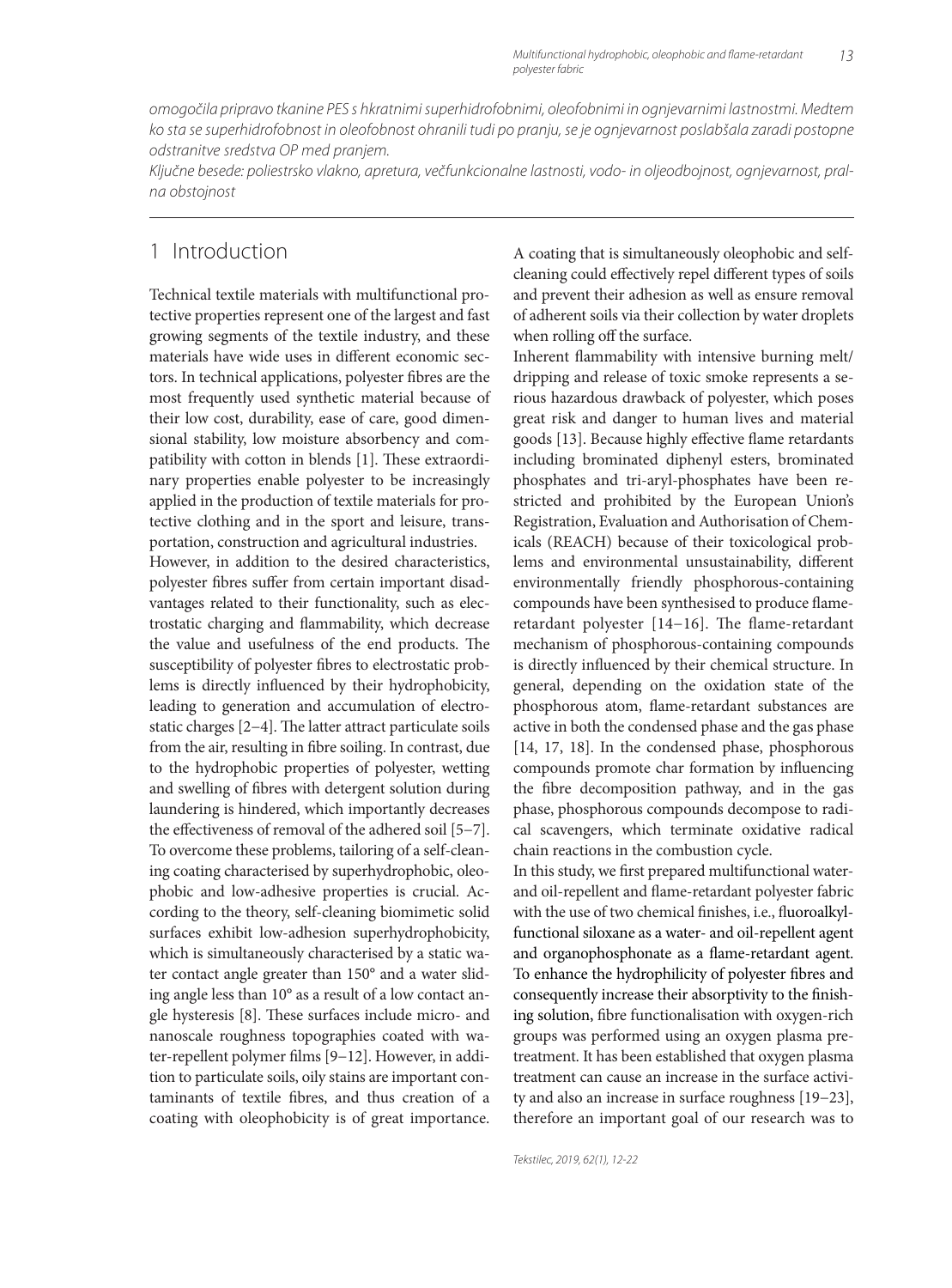omogočila pripravo tkanine PES s hkratnimi superhidrofobnimi, oleofobnimi in ognjevarnimi lastnostmi. Medtem ko sta se superhidrofobnost in oleofobnost ohranili tudi po pranju, se je ognjevarnost poslabšala zaradi postopne odstranitve sredstva OP med pranjem.

Ključne besede: poliestrsko vlakno, apretura, večfunkcionalne lastnosti, vodo- in oljeodbojnost, ognjevarnost, pralna obstojnost

# 1 Introduction

Technical textile materials with multifunctional protective properties represent one of the largest and fast growing segments of the textile industry, and these materials have wide uses in different economic sectors. In technical applications, polyester fibres are the most frequently used synthetic material because of their low cost, durability, ease of care, good dimensional stability, low moisture absorbency and compatibility with cotton in blends [1]. These extraordinary properties enable polyester to be increasingly applied in the production of textile materials for protective clothing and in the sport and leisure, transportation, construction and agricultural industries. However, in addition to the desired characteristics, polyester fibres suffer from certain important disadvantages related to their functionality, such as electrostatic charging and flammability, which decrease the value and usefulness of the end products. The susceptibility of polyester fibres to electrostatic problems is directly influenced by their hydrophobicity, leading to generation and accumulation of electrostatic charges [2−4]. The latter attract particulate soils from the air, resulting in fibre soiling. In contrast, due to the hydrophobic properties of polyester, wetting and swelling of fibres with detergent solution during laundering is hindered, which importantly decreases the effectiveness of removal of the adhered soil [5−7]. To overcome these problems, tailoring of a self-cleaning coating characterised by superhydrophobic, oleophobic and low-adhesive properties is crucial. According to the theory, self-cleaning biomimetic solid surfaces exhibit low-adhesion superhydrophobicity, which is simultaneously characterised by a static water contact angle greater than 150° and a water sliding angle less than 10° as a result of a low contact angle hysteresis [8]. These surfaces include micro- and nanoscale roughness topographies coated with water-repellent polymer films [9-12]. However, in addition to particulate soils, oily stains are important contaminants of textile fibres, and thus creation of a coating with oleophobicity is of great importance.

A coating that is simultaneously oleophobic and selfcleaning could effectively repel different types of soils and prevent their adhesion as well as ensure removal of adherent soils via their collection by water droplets when rolling off the surface.

Inherent flammability with intensive burning melt/ dripping and release of toxic smoke represents a serious hazardous drawback of polyester, which poses great risk and danger to human lives and material goods [13]. Because highly effective flame retardants including brominated diphenyl esters, brominated phosphates and tri-aryl-phosphates have been restricted and prohibited by the European Union's Registration, Evaluation and Authorisation of Chemicals (REACH) because of their toxicological problems and environmental unsustainability, different environmentally friendly phosphorous-containing compounds have been synthesised to produce flameretardant polyester [14-16]. The flame-retardant mechanism of phosphorous-containing compounds is directly influenced by their chemical structure. In general, depending on the oxidation state of the phosphorous atom, flame-retardant substances are active in both the condensed phase and the gas phase [14, 17, 18]. In the condensed phase, phosphorous compounds promote char formation by influencing the fibre decomposition pathway, and in the gas phase, phosphorous compounds decompose to radical scavengers, which terminate oxidative radical chain reactions in the combustion cycle.

In this study, we first prepared multifunctional waterand oil-repellent and flame-retardant polyester fabric with the use of two chemical finishes, i.e., fluoroalkylfunctional siloxane as a water- and oil-repellent agent and organophosphonate as a flame-retardant agent. To enhance the hydrophilicity of polyester fibres and consequently increase their absorptivity to the finishing solution, fibre functionalisation with oxygen-rich groups was performed using an oxygen plasma pretreatment. It has been established that oxygen plasma treatment can cause an increase in the surface activity and also an increase in surface roughness [19−23], therefore an important goal of our research was to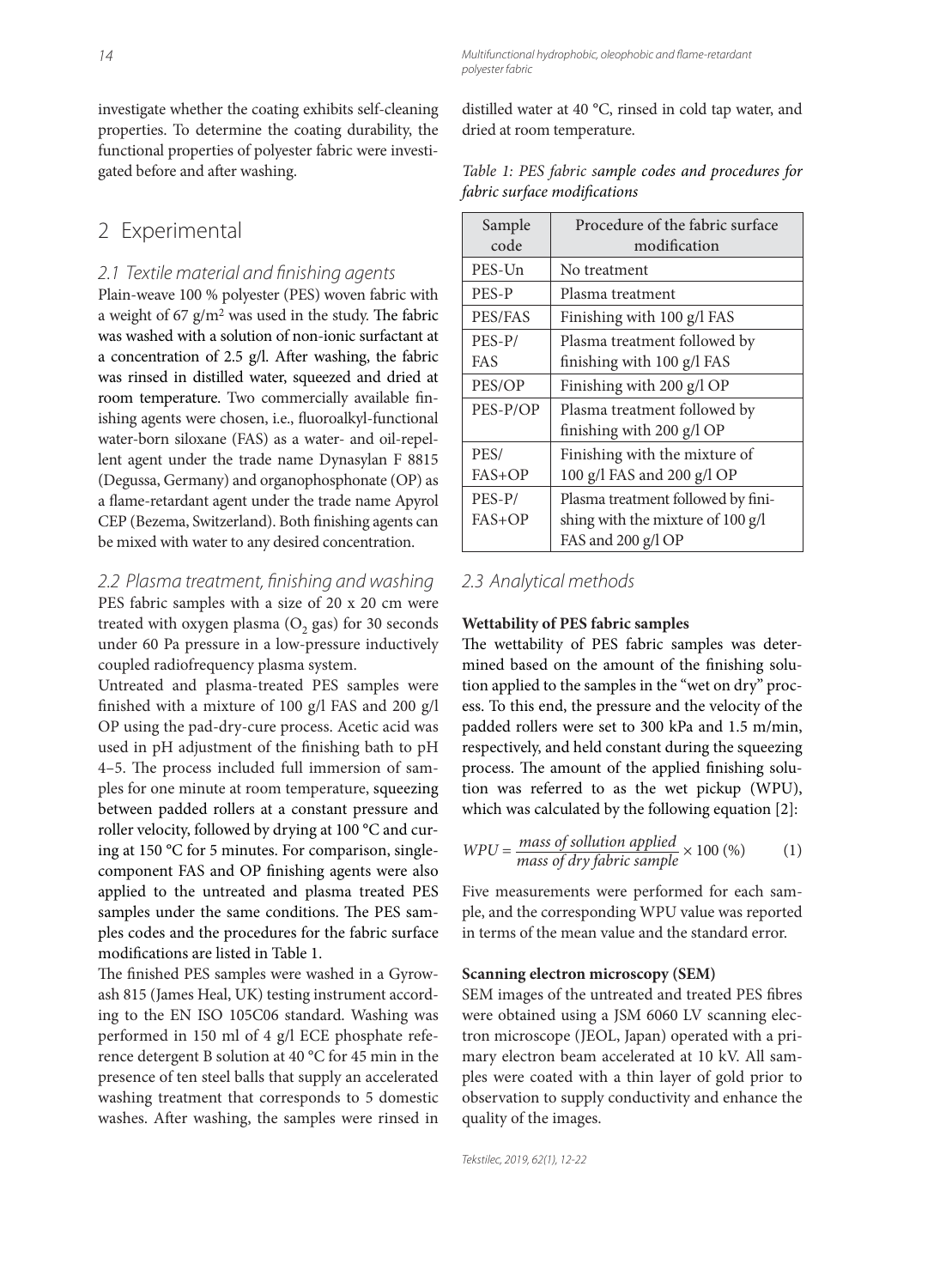investigate whether the coating exhibits self-cleaning properties. To determine the coating durability, the functional properties of polyester fabric were investigated before and after washing.

## 2 Experimental

#### 2.1 Textile material and finishing agents

Plain-weave 100 % polyester (PES) woven fabric with a weight of 67  $g/m^2$  was used in the study. The fabric was washed with a solution of non-ionic surfactant at a concentration of 2.5 g/l. After washing, the fabric was rinsed in distilled water, squeezed and dried at room temperature. Two commercially available finishing agents were chosen, i.e., fluoroalkyl-functional water-born siloxane (FAS) as a water- and oil-repellent agent under the trade name Dynasylan F 8815 (Degussa, Germany) and organophosphonate (OP) as a flame-retardant agent under the trade name Apyrol CEP (Bezema, Switzerland). Both finishing agents can be mixed with water to any desired concentration.

2.2 Plasma treatment, finishing and washing PES fabric samples with a size of 20 x 20 cm were treated with oxygen plasma  $(O<sub>2</sub>$  gas) for 30 seconds under 60 Pa pressure in a low-pressure inductively coupled radiofrequency plasma system.

Untreated and plasma-treated PES samples were finished with a mixture of 100 g/l FAS and 200 g/l OP using the pad-dry-cure process. Acetic acid was used in pH adjustment of the finishing bath to pH 4-5. The process included full immersion of samples for one minute at room temperature, squeezing between padded rollers at a constant pressure and roller velocity, followed by drying at 100 °C and curing at 150 °C for 5 minutes. For comparison, singlecomponent FAS and OP finishing agents were also applied to the untreated and plasma treated PES samples under the same conditions. The PES samples codes and the procedures for the fabric surface modifications are listed in Table 1.

The finished PES samples were washed in a Gyrowash 815 (James Heal, UK) testing instrument according to the EN ISO 105C06 standard. Washing was performed in 150 ml of 4 g/l ECE phosphate reference detergent B solution at 40 °C for 45 min in the presence of ten steel balls that supply an accelerated washing treatment that corresponds to 5 domestic washes. After washing, the samples were rinsed in distilled water at 40 °C, rinsed in cold tap water, and dried at room temperature.

Multifunctional hydrophobic, oleophobic and flame-retardant

polyester fabric

| Table 1: PES fabric sample codes and procedures for |  |  |
|-----------------------------------------------------|--|--|
| fabric surface modifications                        |  |  |

| Sample     | Procedure of the fabric surface    |
|------------|------------------------------------|
| code       | modification                       |
| PES-Un     | No treatment                       |
| PES-P      | Plasma treatment                   |
| PES/FAS    | Finishing with 100 g/l FAS         |
| PES-P/     | Plasma treatment followed by       |
| <b>FAS</b> | finishing with 100 g/l FAS         |
| PES/OP     | Finishing with 200 g/l OP          |
| PES-P/OP   | Plasma treatment followed by       |
|            | finishing with 200 g/l OP          |
| PES/       | Finishing with the mixture of      |
| $FAS+OP$   | 100 g/l FAS and 200 g/l OP         |
| PES-P/     | Plasma treatment followed by fini- |
| $FAS+OP$   | shing with the mixture of 100 g/l  |
|            | FAS and 200 g/l OP                 |

#### 2.3 Analytical methods

#### **Wettability of PES fabric samples**

The wettability of PES fabric samples was determined based on the amount of the finishing solution applied to the samples in the "wet on dry" process. To this end, the pressure and the velocity of the padded rollers were set to 300 kPa and 1.5 m/min, respectively, and held constant during the squeezing process. The amount of the applied finishing solution was referred to as the wet pickup (WPU), which was calculated by the following equation [2]:

$$
WPU = \frac{mass \ of \ solution \ applied}{mass \ of \ dry \ fabric \ sample} \times 100 \, (\%) \tag{1}
$$

Five measurements were performed for each sample, and the corresponding WPU value was reported in terms of the mean value and the standard error.

#### **Scanning electron microscopy (SEM)**

SEM images of the untreated and treated PES fibres were obtained using a JSM 6060 LV scanning electron microscope (JEOL, Japan) operated with a primary electron beam accelerated at 10 kV. All samples were coated with a thin layer of gold prior to observation to supply conductivity and enhance the quality of the images.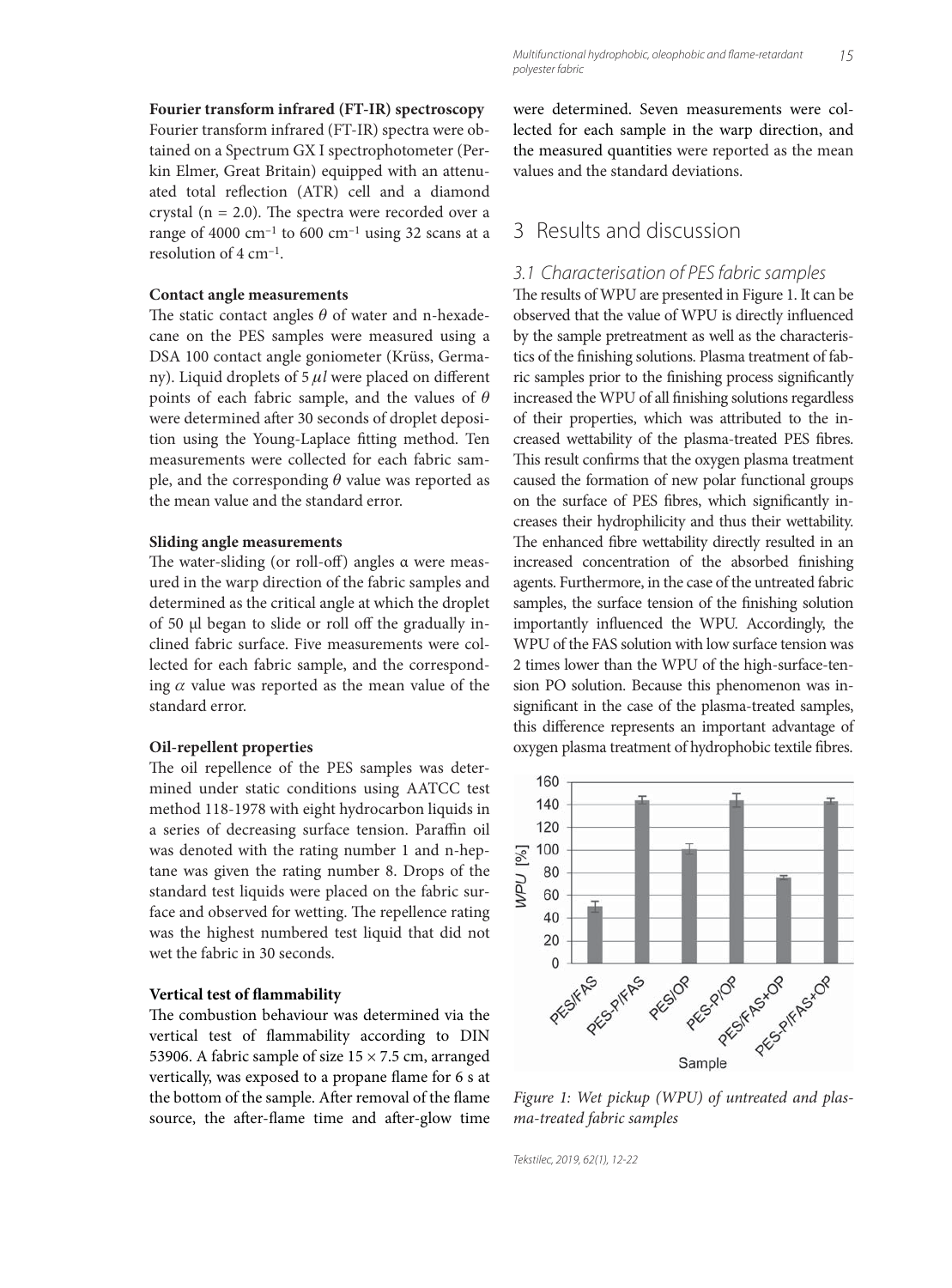#### **Fourier transform infrared (FT-IR) spectroscopy**

Fourier transform infrared (FT-IR) spectra were obtained on a Spectrum GX I spectrophotometer (Perkin Elmer, Great Britain) equipped with an attenuated total reflection (ATR) cell and a diamond crystal ( $n = 2.0$ ). The spectra were recorded over a range of 4000 cm<sup>-1</sup> to 600 cm<sup>-1</sup> using 32 scans at a resolution of 4 cm–1.

#### **Contact angle measurements**

The static contact angles  $\theta$  of water and n-hexadecane on the PES samples were measured using a DSA 100 contact angle goniometer (Krüss, Germany). Liquid droplets of 5 μl were placed on different points of each fabric sample, and the values of  $\theta$ were determined after 30 seconds of droplet deposition using the Young-Laplace fitting method. Ten measurements were collected for each fabric sample, and the corresponding  $\theta$  value was reported as the mean value and the standard error.

#### **Sliding angle measurements**

The water-sliding (or roll-off) angles  $\alpha$  were measured in the warp direction of the fabric samples and determined as the critical angle at which the droplet of 50 μl began to slide or roll off the gradually inclined fabric surface. Five measurements were collected for each fabric sample, and the corresponding  $\alpha$  value was reported as the mean value of the standard error.

#### **Oil-repellent properties**

The oil repellence of the PES samples was determined under static conditions using AATCC test method 118-1978 with eight hydrocarbon liquids in a series of decreasing surface tension. Paraffin oil was denoted with the rating number 1 and n-heptane was given the rating number 8. Drops of the standard test liquids were placed on the fabric surface and observed for wetting. The repellence rating was the highest numbered test liquid that did not wet the fabric in 30 seconds.

#### **Vertical test of flammability**

The combustion behaviour was determined via the vertical test of flammability according to DIN 53906. A fabric sample of size  $15 \times 7.5$  cm, arranged vertically, was exposed to a propane flame for 6 s at the bottom of the sample. After removal of the flame source, the after-flame time and after-glow time

were determined. Seven measurements were collected for each sample in the warp direction, and the measured quantities were reported as the mean values and the standard deviations.

### 3 Results and discussion

#### 3.1 Characterisation of PES fabric samples

The results of WPU are presented in Figure 1. It can be observed that the value of WPU is directly influenced by the sample pretreatment as well as the characteristics of the finishing solutions. Plasma treatment of fabric samples prior to the finishing process significantly increased the WPU of all finishing solutions regardless of their properties, which was attributed to the increased wettability of the plasma-treated PES fibres. This result confirms that the oxygen plasma treatment caused the formation of new polar functional groups on the surface of PES fibres, which significantly increases their hydrophilicity and thus their wettability. The enhanced fibre wettability directly resulted in an increased concentration of the absorbed finishing agents. Furthermore, in the case of the untreated fabric samples, the surface tension of the finishing solution importantly influenced the WPU. Accordingly, the WPU of the FAS solution with low surface tension was 2 times lower than the WPU of the high-surface-tension PO solution. Because this phenomenon was insignificant in the case of the plasma-treated samples, this difference represents an important advantage of oxygen plasma treatment of hydrophobic textile fibres.



*Figure 1: Wet pickup (WPU) of untreated and plasma-treated fabric samples*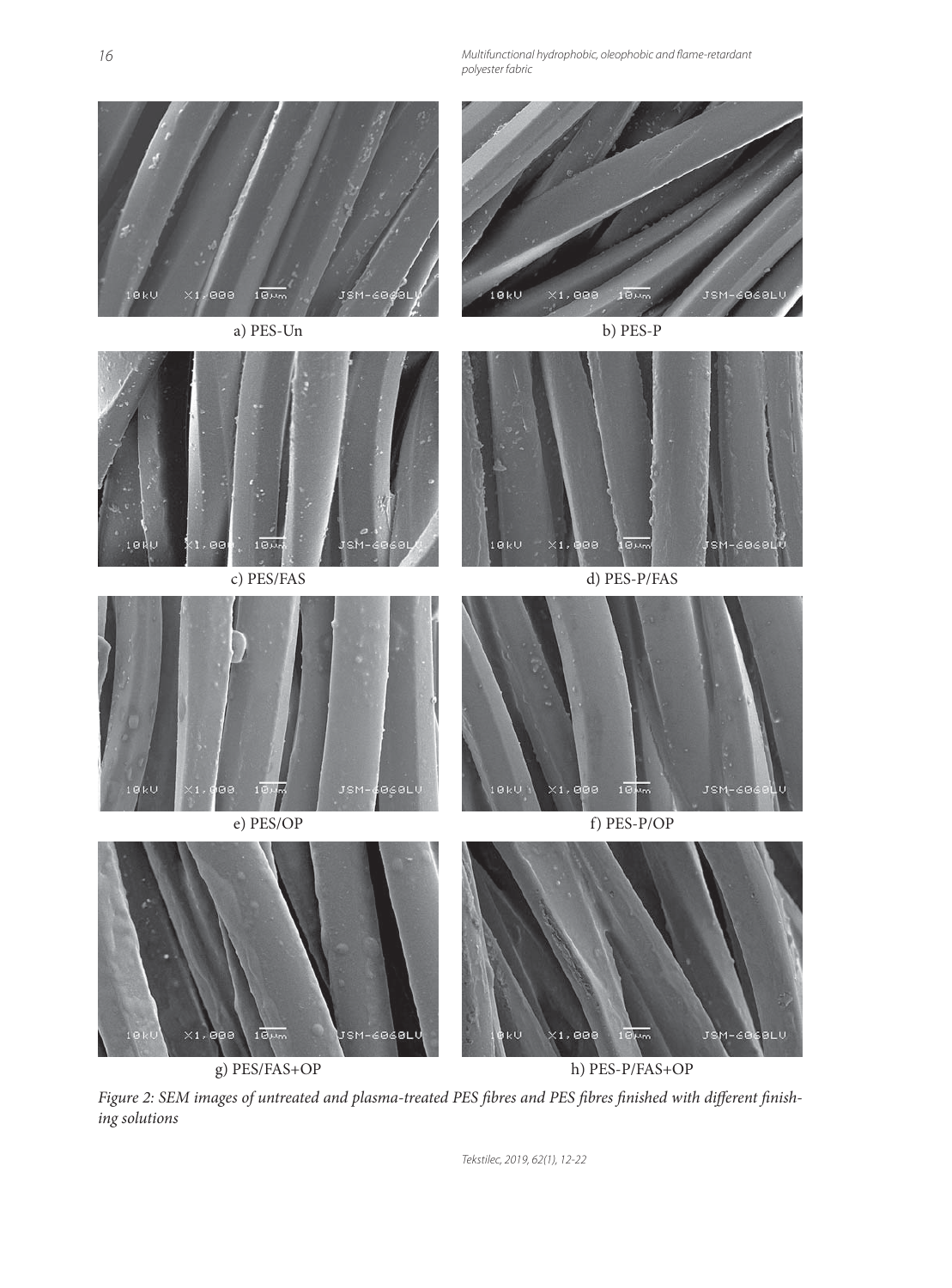Multifunctional hydrophobic, oleophobic and flame-retardant polyester fabric



g) PES/FAS+OP h) PES-P/FAS+OP

Figure 2: SEM images of untreated and plasma-treated PES fibres and PES fibres finished with different finish*ing solutions*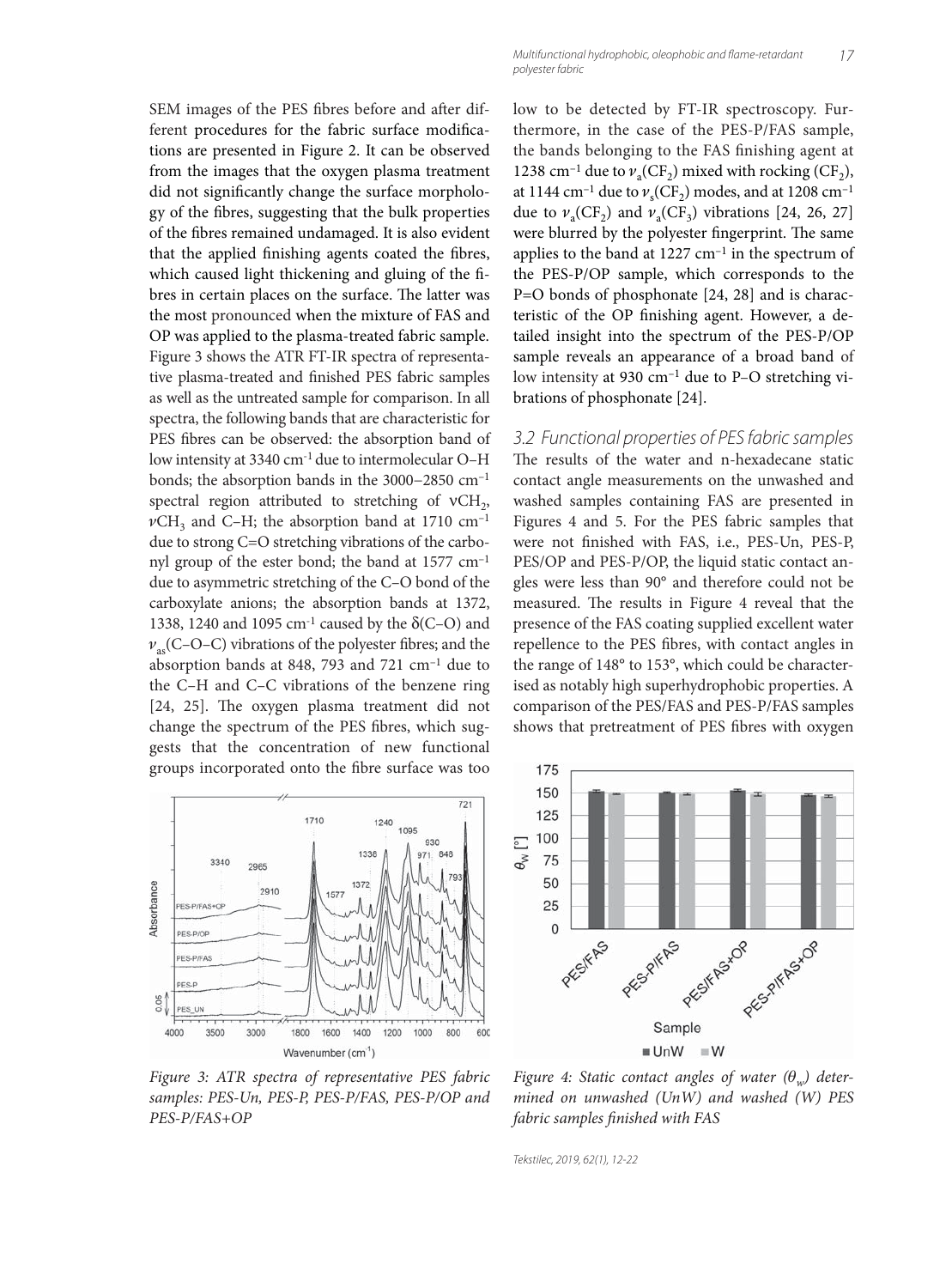SEM images of the PES fibres before and after different procedures for the fabric surface modifications are presented in Figure 2. It can be observed from the images that the oxygen plasma treatment did not significantly change the surface morphology of the fibres, suggesting that the bulk properties of the fibres remained undamaged. It is also evident that the applied finishing agents coated the fibres, which caused light thickening and gluing of the fibres in certain places on the surface. The latter was the most pronounced when the mixture of FAS and OP was applied to the plasma-treated fabric sample. Figure 3 shows the ATR FT-IR spectra of representative plasma-treated and finished PES fabric samples as well as the untreated sample for comparison. In all spectra, the following bands that are characteristic for PES fibres can be observed: the absorption band of low intensity at 3340 cm-1 due to intermolecular O–H bonds; the absorption bands in the 3000−2850 cm–1 spectral region attributed to stretching of  $vCH<sub>2</sub>$ ,  $\nu$ CH<sub>3</sub> and C–H; the absorption band at 1710 cm<sup>-1</sup> due to strong C=O stretching vibrations of the carbonyl group of the ester bond; the band at 1577 cm–1 due to asymmetric stretching of the C–O bond of the carboxylate anions; the absorption bands at 1372, 1338, 1240 and 1095 cm<sup>-1</sup> caused by the  $\delta$ (C–O) and  $v_{\text{as}}$ (C–O–C) vibrations of the polyester fibres; and the absorption bands at 848, 793 and 721 cm–1 due to the C–H and C–C vibrations of the benzene ring [24, 25]. The oxygen plasma treatment did not change the spectrum of the PES fibres, which suggests that the concentration of new functional groups incorporated onto the fibre surface was too



*Figure 3: ATR spectra of representative PES fabric samples: PES-Un, PES-P, PES-P/FAS, PES-P/OP and PES-P/FAS+OP*

low to be detected by FT-IR spectroscopy. Furthermore, in the case of the PES-P/FAS sample, the bands belonging to the FAS finishing agent at 1238 cm<sup>-1</sup> due to  $\nu_{\alpha}$ (CF<sub>2</sub>) mixed with rocking (CF<sub>2</sub>), at 1144 cm<sup>-1</sup> due to  $v_s$ (CF<sub>2</sub>) modes, and at 1208 cm<sup>-1</sup> due to  $\nu_a(CF_2)$  and  $\nu_a(CF_3)$  vibrations [24, 26, 27] were blurred by the polyester fingerprint. The same applies to the band at  $1227 \text{ cm}^{-1}$  in the spectrum of the PES-P/OP sample, which corresponds to the P=O bonds of phosphonate [24, 28] and is characteristic of the OP finishing agent. However, a detailed insight into the spectrum of the PES-P/OP sample reveals an appearance of a broad band of low intensity at 930 cm–1 due to P–O stretching vibrations of phosphonate [24].

3.2 Functional properties of PES fabric samples The results of the water and n-hexadecane static contact angle measurements on the unwashed and washed samples containing FAS are presented in Figures 4 and 5. For the PES fabric samples that were not finished with FAS, i.e., PES-Un, PES-P, PES/OP and PES-P/OP, the liquid static contact angles were less than 90° and therefore could not be measured. The results in Figure 4 reveal that the presence of the FAS coating supplied excellent water repellence to the PES fibres, with contact angles in the range of 148° to 153°, which could be characterised as notably high superhydrophobic properties. A comparison of the PES/FAS and PES-P/FAS samples shows that pretreatment of PES fibres with oxygen



*Figure 4: Static contact angles of water (*θ*w) determined on unwashed (UnW) and washed (W) PES fabric samples finished with FAS*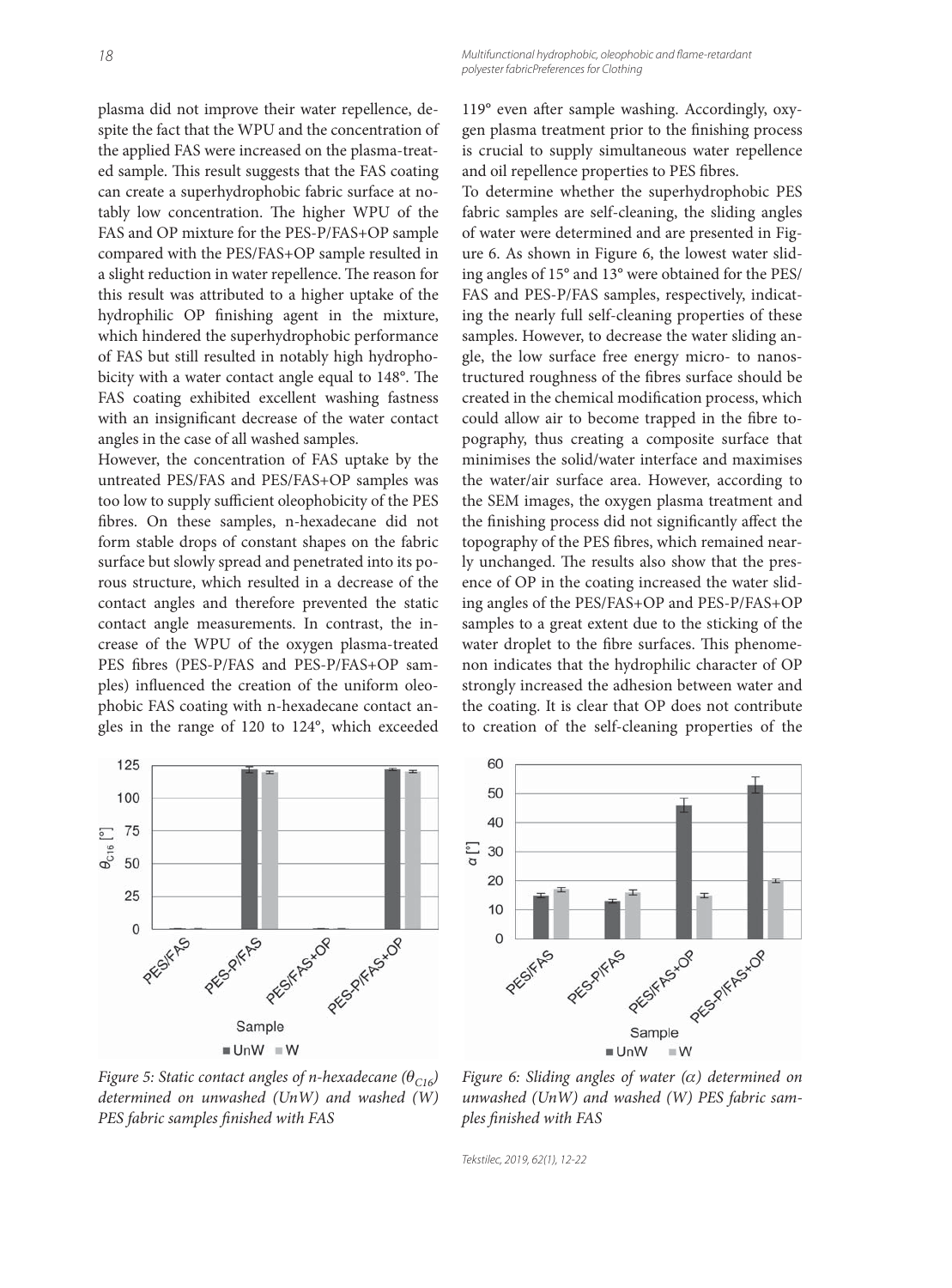plasma did not improve their water repellence, despite the fact that the WPU and the concentration of the applied FAS were increased on the plasma-treated sample. This result suggests that the FAS coating can create a superhydrophobic fabric surface at notably low concentration. The higher WPU of the FAS and OP mixture for the PES-P/FAS+OP sample compared with the PES/FAS+OP sample resulted in a slight reduction in water repellence. The reason for this result was attributed to a higher uptake of the hydrophilic OP finishing agent in the mixture, which hindered the superhydrophobic performance of FAS but still resulted in notably high hydrophobicity with a water contact angle equal to 148°. The FAS coating exhibited excellent washing fastness with an insignificant decrease of the water contact angles in the case of all washed samples.

However, the concentration of FAS uptake by the untreated PES/FAS and PES/FAS+OP samples was too low to supply sufficient oleophobicity of the PES fibres. On these samples, n-hexadecane did not form stable drops of constant shapes on the fabric surface but slowly spread and penetrated into its porous structure, which resulted in a decrease of the contact angles and therefore prevented the static contact angle measurements. In contrast, the increase of the WPU of the oxygen plasma-treated PES fibres (PES-P/FAS and PES-P/FAS+OP samples) influenced the creation of the uniform oleophobic FAS coating with n-hexadecane contact angles in the range of 120 to 124°, which exceeded

119° even after sample washing. Accordingly, oxygen plasma treatment prior to the finishing process is crucial to supply simultaneous water repellence and oil repellence properties to PES fibres.

To determine whether the superhydrophobic PES fabric samples are self-cleaning, the sliding angles of water were determined and are presented in Figure 6. As shown in Figure 6, the lowest water sliding angles of 15° and 13° were obtained for the PES/ FAS and PES-P/FAS samples, respectively, indicating the nearly full self-cleaning properties of these samples. However, to decrease the water sliding angle, the low surface free energy micro- to nanostructured roughness of the fibres surface should be created in the chemical modification process, which could allow air to become trapped in the fibre topography, thus creating a composite surface that minimises the solid/water interface and maximises the water/air surface area. However, according to the SEM images, the oxygen plasma treatment and the finishing process did not significantly affect the topography of the PES fibres, which remained nearly unchanged. The results also show that the presence of OP in the coating increased the water sliding angles of the PES/FAS+OP and PES-P/FAS+OP samples to a great extent due to the sticking of the water droplet to the fibre surfaces. This phenomenon indicates that the hydrophilic character of OP strongly increased the adhesion between water and the coating. It is clear that OP does not contribute to creation of the self-cleaning properties of the



*Figure 5: Static contact angles of n-hexadecane (θ<sub>C16</sub>) determined on unwashed (UnW) and washed (W) PES fabric samples finished with FAS* 



*Figure 6: Sliding angles of water (*α*) determined on unwashed (UnW) and washed (W) PES fabric samples fi nished with FAS*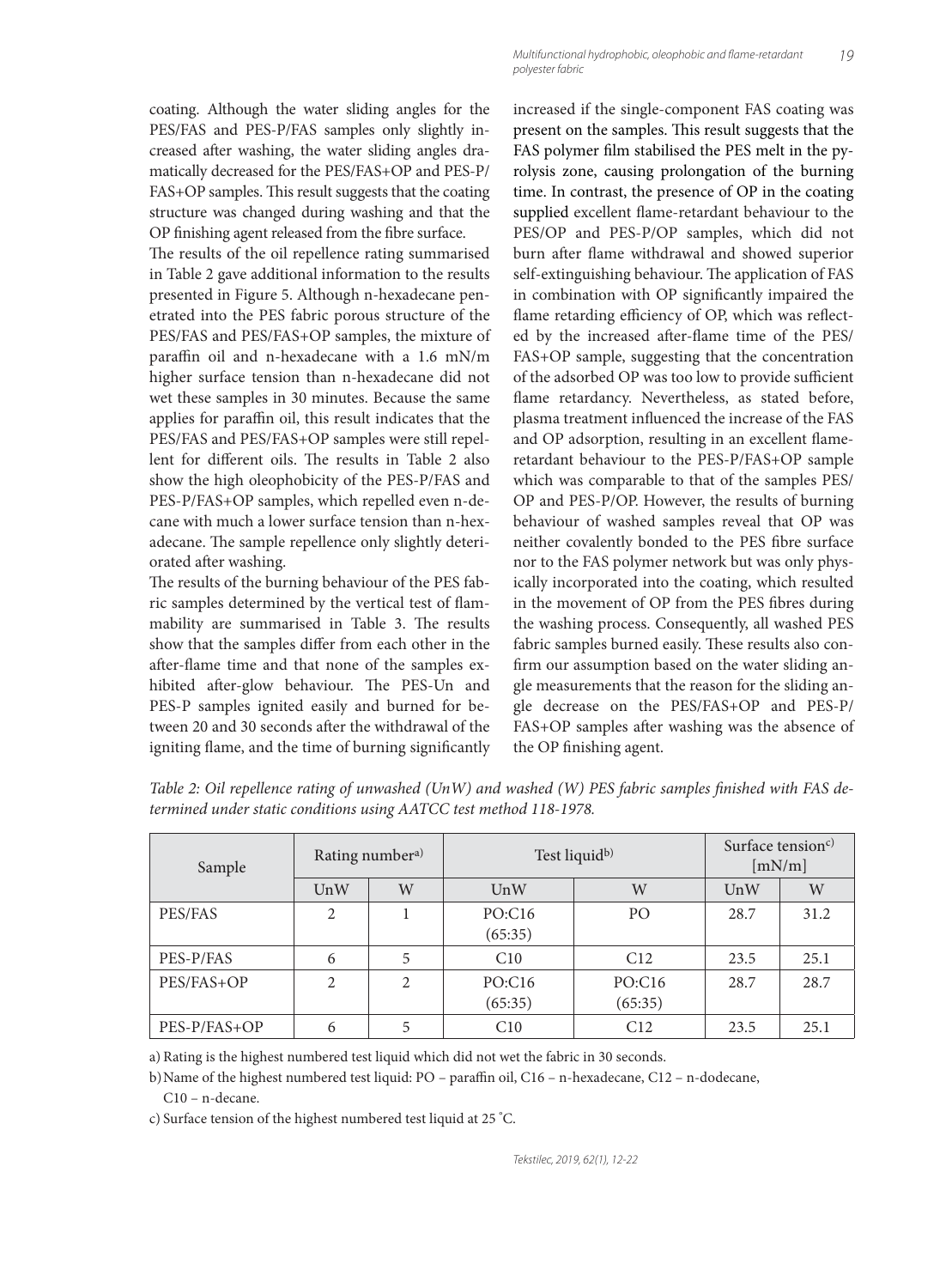coating. Although the water sliding angles for the PES/FAS and PES-P/FAS samples only slightly increased after washing, the water sliding angles dramatically decreased for the PES/FAS+OP and PES-P/ FAS+OP samples. This result suggests that the coating structure was changed during washing and that the OP finishing agent released from the fibre surface.

The results of the oil repellence rating summarised in Table 2 gave additional information to the results presented in Figure 5. Although n-hexadecane penetrated into the PES fabric porous structure of the PES/FAS and PES/FAS+OP samples, the mixture of paraffin oil and n-hexadecane with a  $1.6$  mN/m higher surface tension than n-hexadecane did not wet these samples in 30 minutes. Because the same applies for paraffin oil, this result indicates that the PES/FAS and PES/FAS+OP samples were still repellent for different oils. The results in Table 2 also show the high oleophobicity of the PES-P/FAS and PES-P/FAS+OP samples, which repelled even n-decane with much a lower surface tension than n-hexadecane. The sample repellence only slightly deteriorated after washing.

The results of the burning behaviour of the PES fabric samples determined by the vertical test of flammability are summarised in Table 3. The results show that the samples differ from each other in the after-flame time and that none of the samples exhibited after-glow behaviour. The PES-Un and PES-P samples ignited easily and burned for between 20 and 30 seconds after the withdrawal of the igniting flame, and the time of burning significantly increased if the single-component FAS coating was present on the samples. This result suggests that the FAS polymer film stabilised the PES melt in the pyrolysis zone, causing prolongation of the burning time. In contrast, the presence of OP in the coating supplied excellent flame-retardant behaviour to the PES/OP and PES-P/OP samples, which did not burn after flame withdrawal and showed superior self-extinguishing behaviour. The application of FAS in combination with OP significantly impaired the flame retarding efficiency of OP, which was reflected by the increased after-flame time of the PES/ FAS+OP sample, suggesting that the concentration of the adsorbed OP was too low to provide sufficient flame retardancy. Nevertheless, as stated before, plasma treatment influenced the increase of the FAS and OP adsorption, resulting in an excellent flameretardant behaviour to the PES-P/FAS+OP sample which was comparable to that of the samples PES/ OP and PES-P/OP. However, the results of burning behaviour of washed samples reveal that OP was neither covalently bonded to the PES fibre surface nor to the FAS polymer network but was only physically incorporated into the coating, which resulted in the movement of OP from the PES fibres during the washing process. Consequently, all washed PES fabric samples burned easily. These results also confirm our assumption based on the water sliding angle measurements that the reason for the sliding angle decrease on the PES/FAS+OP and PES-P/ FAS+OP samples after washing was the absence of the OP finishing agent.

| Sample       | Rating numbera) |   | Test liquid <sup>b)</sup> |                   | Surface tension <sup>c)</sup><br>[mN/m] |      |
|--------------|-----------------|---|---------------------------|-------------------|-----------------------------------------|------|
|              | UnW             | W | UnW                       | W                 | UnW                                     | W    |
| PES/FAS      | $\overline{c}$  |   | PO:C16<br>(65:35)         | P <sub>O</sub>    | 28.7                                    | 31.2 |
| PES-P/FAS    | 6               | 5 | C10                       | C12               | 23.5                                    | 25.1 |
| PES/FAS+OP   | 2               | 2 | PO:C16<br>(65:35)         | PO:C16<br>(65:35) | 28.7                                    | 28.7 |
| PES-P/FAS+OP | 6               | 5 | C10                       | C12               | 23.5                                    | 25.1 |

Table 2: Oil repellence rating of unwashed (UnW) and washed (W) PES fabric samples finished with FAS de*termined under static conditions using AATCC test method 118-1978.*

a) Rating is the highest numbered test liquid which did not wet the fabric in 30 seconds.

b) Name of the highest numbered test liquid: PO – paraffin oil, C16 – n-hexadecane, C12 – n-dodecane,

C10 – n-decane.

c) Surface tension of the highest numbered test liquid at 25 ° C.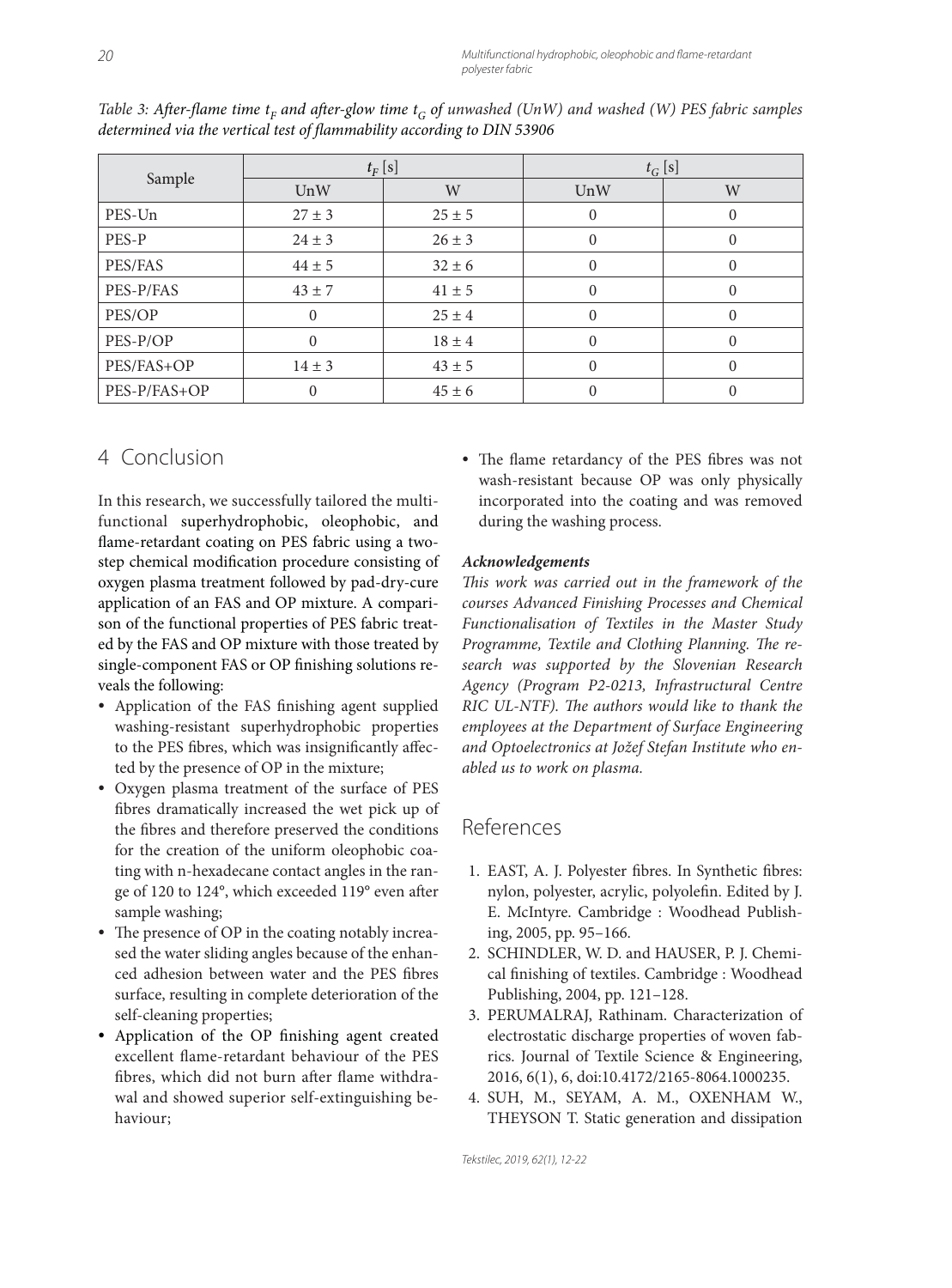| Sample       | $t_F$ [s]  |            | $t_G$ [s]      |          |
|--------------|------------|------------|----------------|----------|
|              | UnW        | W          | UnW            | W        |
| PES-Un       | $27 \pm 3$ | $25 \pm 5$ | $\overline{0}$ | $\Omega$ |
| PES-P        | $24 \pm 3$ | $26 \pm 3$ | $\overline{0}$ | $\Omega$ |
| PES/FAS      | $44 \pm 5$ | $32 \pm 6$ | $\Omega$       | 0        |
| PES-P/FAS    | $43 \pm 7$ | $41 \pm 5$ | $\Omega$       |          |
| PES/OP       | $\Omega$   | $25 \pm 4$ | $\mathbf{0}$   |          |
| PES-P/OP     | $\Omega$   | $18 \pm 4$ | $\Omega$       | $\Omega$ |
| PES/FAS+OP   | $14 \pm 3$ | $43 \pm 5$ | $\Omega$       | $\Omega$ |
| PES-P/FAS+OP | $\theta$   | $45 \pm 6$ | $\theta$       |          |

*Table 3: After-flame time t<sub>F</sub> and after-glow time t<sub>G</sub> of unwashed (UnW) and washed (W) PES fabric samples* determined via the vertical test of flammability according to DIN 53906

# 4 Conclusion

In this research, we successfully tailored the multifunctional superhydrophobic, oleophobic, and flame-retardant coating on PES fabric using a twostep chemical modification procedure consisting of oxygen plasma treatment followed by pad-dry-cure application of an FAS and OP mixture. A comparison of the functional properties of PES fabric treated by the FAS and OP mixture with those treated by single-component FAS or OP finishing solutions reveals the following:

- Application of the FAS finishing agent supplied washing-resistant superhydrophobic properties to the PES fibres, which was insignificantly affected by the presence of OP in the mixture;
- Oxygen plasma treatment of the surface of PES fibres dramatically increased the wet pick up of the fibres and therefore preserved the conditions for the creation of the uniform oleophobic coating with n-hexadecane contact angles in the range of 120 to 124°, which exceeded 119° even after sample washing;
- The presence of OP in the coating notably increased the water sliding angles because of the enhanced adhesion between water and the PES fibres surface, resulting in complete deterioration of the self-cleaning properties;
- Application of the OP finishing agent created excellent flame-retardant behaviour of the PES fibres, which did not burn after flame withdrawal and showed superior self-extinguishing behaviour;

The flame retardancy of the PES fibres was not wash-resistant because OP was only physically incorporated into the coating and was removed during the washing process.

### *Acknowledgements*

*This work was carried out in the framework of the courses Advanced Finishing Processes and Chemical Functionalisation of Textiles in the Master Study*  Programme, Textile and Clothing Planning. The re*search was supported by the Slovenian Research Agency (Program P2-0213, Infrastructural Centre RIC UL-NTF). The authors would like to thank the employees at the Department of Surface Engineering and Optoelectronics at Jožef Stefan Institute who enabled us to work on plasma.*

# References

- 1. EAST, A. J. Polyester fibres. In Synthetic fibres: nylon, polyester, acrylic, polyolefin. Edited by J. E. McIntyre. Cambridge : Woodhead Publishing, 2005, pp. 95–166.
- 2. SCHINDLER, W. D. and HAUSER, P. J. Chemical finishing of textiles. Cambridge : Woodhead Publishing, 2004, pp. 121–128.
- 3. PERUMALRAJ, Rathinam. Characterization of electrostatic discharge properties of woven fabrics. Journal of Textile Science & Engineering, 2016, 6(1), 6, doi:10.4172/2165-8064.1000235.
- 4. SUH, M., SEYAM, A. M., OXENHAM W., THEYSON T. Static generation and dissipation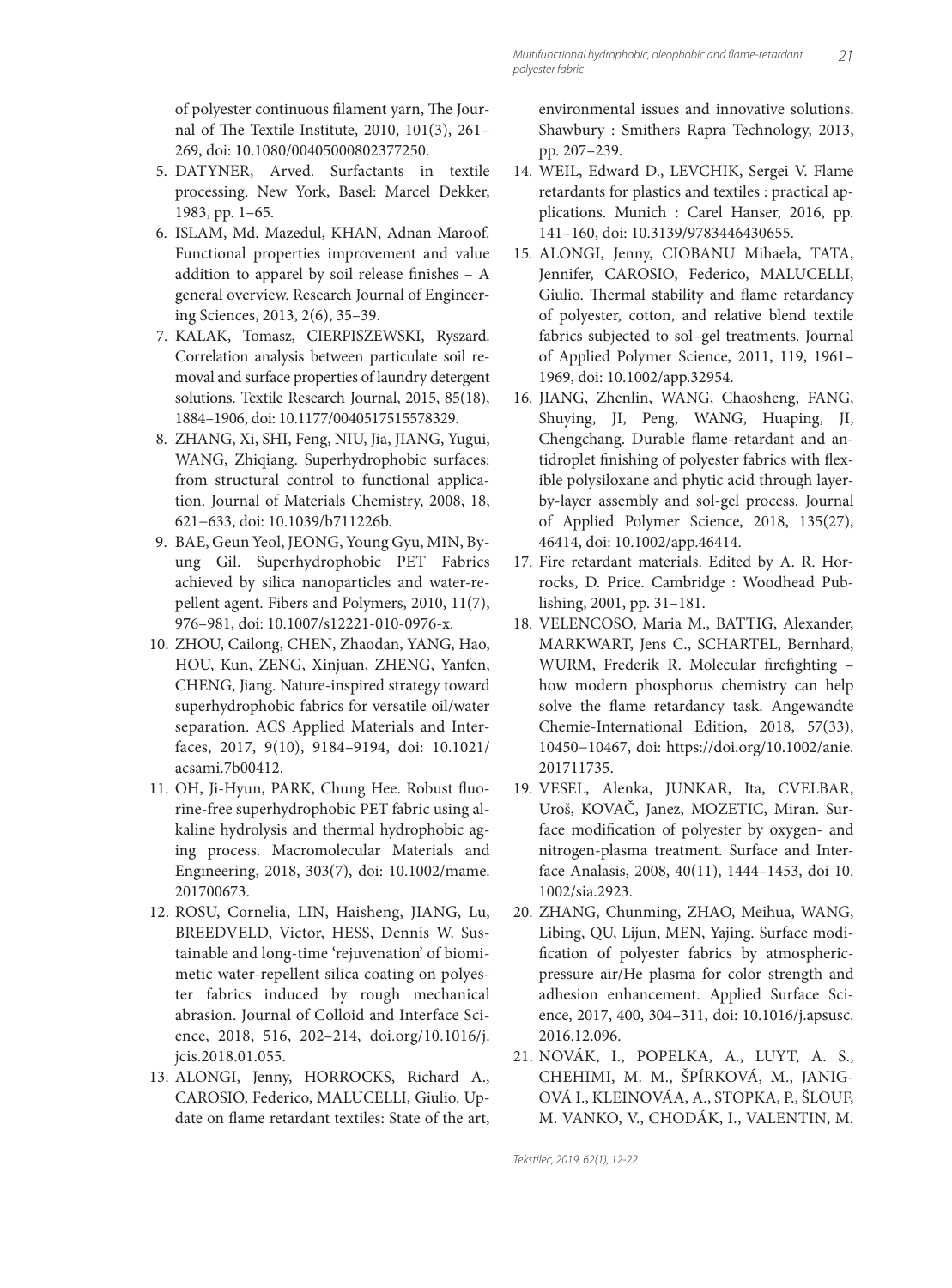of polyester continuous filament yarn, The Journal of The Textile Institute, 2010, 101(3), 261-269, doi: 10.1080/00405000802377250.

- 5. DATYNER, Arved. Surfactants in textile processing. New York, Basel: Marcel Dekker, 1983, pp. 1–65.
- 6. ISLAM, Md. Mazedul, KHAN, Adnan Maroof. Functional properties improvement and value addition to apparel by soil release finishes  $- A$ general overview. Research Journal of Engineering Sciences, 2013, 2(6), 35–39.
- 7. KALAK, Tomasz, CIERPISZEWSKI, Ryszard. Correlation analysis between particulate soil removal and surface properties of laundry detergent solutions. Textile Research Journal, 2015, 85(18), 1884–1906, doi: 10.1177/0040517515578329.
- 8. ZHANG, Xi, SHI, Feng, NIU, Jia, JIANG, Yugui, WANG, Zhiqiang. Superhydrophobic surfaces: from structural control to functional application. Journal of Materials Chemistry, 2008, 18, 621−633, doi: 10.1039/b711226b.
- 9. BAE, Geun Yeol, JEONG, Young Gyu, MIN, Byung Gil. Superhydrophobic PET Fabrics achieved by silica nanoparticles and water-repellent agent. Fibers and Polymers, 2010, 11(7), 976–981, doi: 10.1007/s12221-010-0976-x.
- 10. ZHOU, Cailong, CHEN, Zhaodan, YANG, Hao, HOU, Kun, ZENG, Xinjuan, ZHENG, Yanfen, CHENG, Jiang. Nature-inspired strategy toward superhydrophobic fabrics for versatile oil/water separation. ACS Applied Materials and Interfaces, 2017, 9(10), 9184–9194, doi: 10.1021/ acsami.7b00412.
- 11. OH, Ji-Hyun, PARK, Chung Hee. Robust fluorine-free superhydrophobic PET fabric using alkaline hydrolysis and thermal hydrophobic aging process. Macromolecular Materials and Engineering, 2018, 303(7), doi: 10.1002/mame. 201700673.
- 12. ROSU, Cornelia, LIN, Haisheng, JIANG, Lu, BREEDVELD, Victor, HESS, Dennis W. Sustainable and long-time 'rejuvenation' of biomimetic water-repellent silica coating on polyester fabrics induced by rough mechanical abrasion. Journal of Colloid and Interface Science, 2018, 516, 202–214, doi.org/10.1016/j. jcis.2018.01.055.
- 13. ALONGI, Jenny, HORROCKS, Richard A., CAROSIO, Federico, MALUCELLI, Giulio. Update on flame retardant textiles: State of the art,

environmental issues and innovative solutions. Shawbury : Smithers Rapra Technology, 2013, pp. 207–239.

- 14. WEIL, Edward D., LEVCHIK, Sergei V. Flame retardants for plastics and textiles : practical applications. Munich : Carel Hanser, 2016, pp. 141–160, doi: 10.3139/9783446430655.
- 15. ALONGI, Jenny, CIOBANU Mihaela, TATA, Jennifer, CAROSIO, Federico, MALUCELLI, Giulio. Thermal stability and flame retardancy of polyester, cotton, and relative blend textile fabrics subjected to sol–gel treatments. Journal of Applied Polymer Science, 2011, 119, 1961– 1969, doi: 10.1002/app.32954.
- 16. JIANG, Zhenlin, WANG, Chaosheng, FANG, Shuying, JI, Peng, WANG, Huaping, JI, Chengchang. Durable flame-retardant and antidroplet finishing of polyester fabrics with flexible polysiloxane and phytic acid through layerby‐layer assembly and sol-gel process. Journal of Applied Polymer Science, 2018, 135(27), 46414, doi: 10.1002/app.46414.
- 17. Fire retardant materials. Edited by A. R. Horrocks, D. Price. Cambridge : Woodhead Publishing, 2001, pp. 31–181.
- 18. VELENCOSO, Maria M., BATTIG, Alexander, MARKWART, Jens C., SCHARTEL, Bernhard, WURM, Frederik R. Molecular firefighting how modern phosphorus chemistry can help solve the flame retardancy task. Angewandte Chemie-International Edition, 2018, 57(33), 10450−10467, doi: https://doi.org/10.1002/anie. 201711735.
- 19. VESEL, Alenka, JUNKAR, Ita, CVELBAR, Uroš, KOVAČ, Janez, MOZETIC, Miran. Surface modification of polyester by oxygen- and nitrogen-plasma treatment. Surface and Interface Analasis, 2008, 40(11), 1444–1453, doi 10. 1002/sia.2923.
- 20. ZHANG, Chunming, ZHAO, Meihua, WANG, Libing, QU, Lijun, MEN, Yajing. Surface modification of polyester fabrics by atmosphericpressure air/He plasma for color strength and adhesion enhancement. Applied Surface Science, 2017, 400, 304–311, doi: 10.1016/j.apsusc. 2016.12.096.
- 21. NOVÁK, I., POPELKA, A., LUYT, A. S., CHEHIMI, M. M., ŠPÍRKOVÁ, M., JANIG-OVÁ I., KLEINOVÁA, A., STOPKA, P., ŠLOUF, M. VANKO, V., CHODÁK, I., VALENTIN, M.